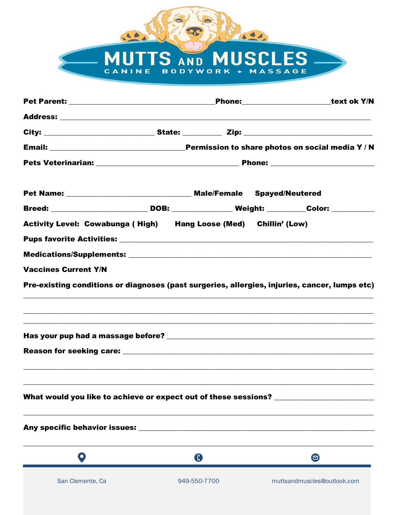## MUTTS AND MUSCLES

640

Mic OD

|                                                                                                                       |              |  | Phone:________________________text ok Y/N |
|-----------------------------------------------------------------------------------------------------------------------|--------------|--|-------------------------------------------|
|                                                                                                                       |              |  |                                           |
|                                                                                                                       |              |  |                                           |
|                                                                                                                       |              |  |                                           |
|                                                                                                                       |              |  |                                           |
|                                                                                                                       |              |  |                                           |
| Breed: ___________________________DOB: _________________Weight: __________Color: ___________                          |              |  |                                           |
| Activity Level: Cowabunga (High) Hang Loose (Med) Chillin' (Low)                                                      |              |  |                                           |
|                                                                                                                       |              |  |                                           |
|                                                                                                                       |              |  |                                           |
| <b>Vaccines Current Y/N</b>                                                                                           |              |  |                                           |
| Pre-existing conditions or diagnoses (past surgeries, allergies, injuries, cancer, lumps etc)                         |              |  |                                           |
| ,我们也不会有什么?""我们的人,我们也不会有什么?""我们的人,我们也不会有什么?""我们的人,我们也不会有什么?""我们的人,我们也不会有什么?""我们的人                                      |              |  |                                           |
| <u> 1999 - Johann Harry Harry Harry Harry Harry Harry Harry Harry Harry Harry Harry Harry Harry Harry Harry Harry</u> |              |  |                                           |
|                                                                                                                       |              |  |                                           |
| <u> 1989 - Andrea Santa Andrea Andrea Andrea Andrea Andrea Andrea Andrea Andrea Andrea Andrea Andrea Andrea Andr</u>  |              |  |                                           |
| What would you like to achieve or expect out of these sessions? ________________                                      |              |  |                                           |
|                                                                                                                       |              |  |                                           |
| O                                                                                                                     | $\mathbf 0$  |  | $\boldsymbol{\Theta}$                     |
| San Clemente, Ca                                                                                                      | 949-550-7700 |  | muttsandmuscles@outlook.com               |